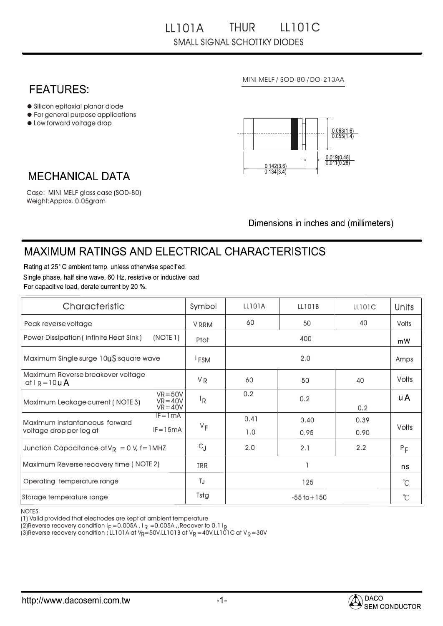## LL101A THUR LL101C SMALL SIGNAL SCHOTTKY DIODES

**FEATURES:** 

- Silicon epitaxial planar diode
- $\bullet$  For general purpose applications
- $\bullet$  Low forward voltage drop



MINI MELF / SOD-80 / DO-213AA

## **MECHANICAL DATA**

Weight:Approx. 0.05gram Case: MINI MELF glass case (SOD-80)

Dimensions in inches and (millimeters)

## MAXIMUM RATINGS AND ELECTRICAL CHARACTERISTICS

Rating at 25°C ambient temp, unless otherwise specified. Single phase, half sine wave, 60 Hz, resistive or inductive load. For capacitive load, derate current by 20 %.

| Characteristic                                                                        | Symbol                  | LL101A          | LL101B       | LL101C       | Units        |
|---------------------------------------------------------------------------------------|-------------------------|-----------------|--------------|--------------|--------------|
| Peak reverse voltage                                                                  | <b>VRRM</b>             | 60              | 50           | 40           | <b>Volts</b> |
| (NOTE 1)<br>Power Dissipation (infinite Heat Sink)                                    | Ptot                    | 400             |              |              | mW           |
| Maximum Single surge 10uS square wave                                                 | <sup>I</sup> FSM        | 2.0             |              |              | Amps         |
| Maximum Reverse breakover voltage<br>at $I_R = 10$ u A                                | V <sub>R</sub>          | 60              | 50           | 40           | <b>Volts</b> |
| $VR = 50V$<br>$VR = 40V$<br>Maximum Leakage current (NOTE 3)<br>$VR = 40V$            | $\mathsf{I}_\mathsf{R}$ | 0.2             | 0.2          | 0.2          | u A          |
| $IF = ImA$<br>Maximum instantaneous forward<br>$IF = 15mA$<br>voltage drop per leg at | $V_F$                   | 0.41<br>1.0     | 0.40<br>0.95 | 0.39<br>0.90 | <b>Volts</b> |
| Junction Capacitance $\text{atV}_R = 0 \text{ V}$ , f=1MHZ                            | $C_{\text{J}}$          | 2.0             | 2.1          | 2.2          | $P_F$        |
| Maximum Reverse recovery time (NOTE 2)                                                | <b>TRR</b>              |                 |              |              | ns           |
| Operating temperature range                                                           | TJ                      | 125             |              |              | $^{\circ}C$  |
| Storage temperature range                                                             | Tstg                    | $-55$ to $+150$ |              |              | $\mathrm{C}$ |

NOTES:

(1) Valid provided that electrodes are kept at ambient temperature

(2)Reverse recovery condition i<sub>F</sub> =0.005A , I <sub>R</sub> =0.005A ,,Recover to 0.1 I

(2)Reverse recovery condition i⊧ =∪.∪∪5A , i R =∪.∪∪5A ,,Recover to ∪. i i R<br>(3)Reverse recovery condition : LL101A at V<sub>R</sub>=50V,LL101B at V<sub>R</sub> =40V,LL101C at V<sub>R</sub>=30V  $R = 500$ y.cu i u i b ar v $R = 40$ y.cu i u i c ar v $R$